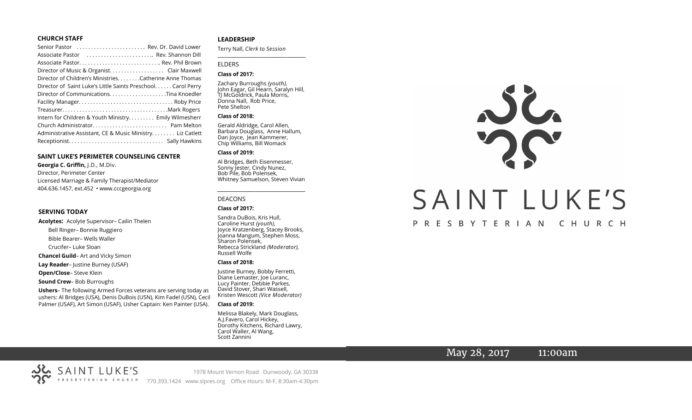#### **CHURCH STAFF**

| Senior Pastor  Rev. Dr. David Lower                           |
|---------------------------------------------------------------|
| Associate Pastor  Rev. Shannon Dill                           |
| Associate Pastor Rev. Phil Brown                              |
| Director of Music & Organist. Clair Maxwell                   |
| Director of Children's Ministries. Catherine Anne Thomas      |
| Director of Saint Luke's Little Saints Preschool. Carol Perry |
|                                                               |
|                                                               |
|                                                               |
| Intern for Children & Youth Ministry Emily Wilmesherr         |
|                                                               |
| Administrative Assistant, CE & Music Ministry Liz Catlett     |
|                                                               |

#### **SAINT LUKE'S PERIMETER COUNSELING CENTER**

**Georgia C. Griffin,** J.D., M.Div. Director, Perimeter Center Licensed Marriage & Family Therapist/Mediator 404.636.1457, ext.452 • www.cccgeorgia.org

#### **SERVING TODAY**

**Acolytes:** Acolyte Supervisor– Cailin Thelen Bell Ringer– Bonnie Ruggiero Bible Bearer– Wells Waller Crucifer– Luke Sloan **Chancel Guild**– Art and Vicky Simon **Lay Reader**– Justine Burney (USAF) **Open/Close**– Steve Klein

**Sound Crew**– Bob Burroughs

**Ushers**– The following Armed Forces veterans are serving today as ushers: Al Bridges (USA), Denis DuBois (USN), Kim Fadel (USN), Cecil Palmer (USAF), Art Simon (USAF), Usher Captain: Ken Painter (USA).

#### **LEADERSHIP**

Terry Nall, *Clerk to Session* 

**\_\_\_\_\_\_\_\_\_\_\_\_\_\_\_\_\_\_\_\_\_\_\_\_\_\_\_\_\_\_\_\_\_\_\_\_\_\_\_**

#### ELDERS

#### **Class of 2017:**

Zachary Burroughs *(youth),*  John Eagar, Gil Hearn, Saralyn Hill, TJ McGoldrick, Paula Morris, Donna Nall, Rob Price, Pete Shelton

#### **Class of 2018:**

Gerald Aldridge, Carol Allen, Barbara Douglass, Anne Hallum, Dan Joyce, Jean Kammerer, Chip Williams, Bill Womack

#### **Class of 2019:**

Al Bridges, Beth Eisenmesser, Sonny Jester, Cindy Nunez, Bob Pile, Bob Polensek, Whitney Samuelson, Steven Vivian

*\_\_\_\_\_\_\_\_\_\_\_\_\_\_\_\_\_\_\_\_\_\_\_\_\_\_\_\_\_\_\_\_\_\_\_\_\_*

# DEACONS

#### **Class of 2017:**

Sandra DuBois, Kris Hull, Caroline Hurst *(youth),* Joyce Kratzenberg, Stacey Brooks, Joanna Mangum, Stephen Moss, Sharon Polensek, Rebecca Strickland *(Moderator),*  Russell Wolfe

#### **Class of 2018:**

Justine Burney, Bobby Ferretti, Diane Lemaster, Joe Luranc, Lucy Painter, Debbie Parkes, David Stover, Shari Wassell, Kristen Wescott *(Vice Moderator)*

#### **Class of 2019:**

Melissa Blakely, Mark Douglass, A.J.Favero, Carol Hickey, Dorothy Kitchens, Richard Lawry, Carol Waller, Al Wang, Scott Zannini



# May 28, 2017 11:00am

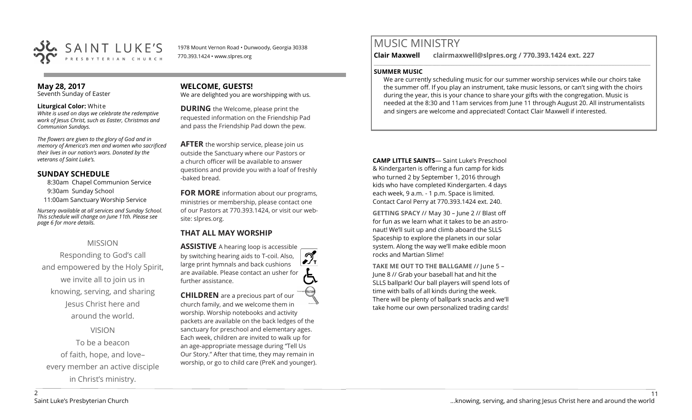

1978 Mount Vernon Road • Dunwoody, Georgia 30338 770.393.1424 • www.slpres.org

# **May 28, 2017**

Seventh Sunday of Easter

#### **Liturgical Color:** White

*White is used on days we celebrate the redemptive work of Jesus Christ, such as Easter, Christmas and Communion Sundays.*

*The flowers are given to the glory of God and in memory of America's men and women who sacrificed their lives in our nation's wars. Donated by the veterans of Saint Luke's.* 

## **SUNDAY SCHEDULE**

8:30am Chapel Communion Service

- 9:30am Sunday School
- 11:00am Sanctuary Worship Service

*Nursery available at all services and Sunday School. This schedule will change on June 11th. Please see page 6 for more details.* 

## MISSION

Responding to God's call and empowered by the Holy Spirit, we invite all to join us in knowing, serving, and sharing Jesus Christ here and around the world. VISION

To be a beacon of faith, hope, and love– every member an active disciple in Christ's ministry.

#### **WELCOME, GUESTS!**  We are delighted you are worshipping with us.

**DURING** the Welcome, please print the

requested information on the Friendship Pad and pass the Friendship Pad down the pew.

**AFTER** the worship service, please join us outside the Sanctuary where our Pastors or a church officer will be available to answer questions and provide you with a loaf of freshly -baked bread.

**FOR MORE** information about our programs, ministries or membership, please contact one of our Pastors at 770.393.1424, or visit our website: slpres.org.

# **THAT ALL MAY WORSHIP**

**ASSISTIVE** A hearing loop is accessible പ് by switching hearing aids to T-coil. Also,  $\frac{1}{\sqrt{1}}$ large print hymnals and back cushions are available. Please contact an usher for further assistance. **CHILDREN** are a precious part of our

church family, and we welcome them in worship. Worship notebooks and activity packets are available on the back ledges of the sanctuary for preschool and elementary ages. Each week, children are invited to walk up for an age-appropriate message during "Tell Us Our Story." After that time, they may remain in worship, or go to child care (PreK and younger).

# MUSIC MINISTRY

**Clair Maxwell clairmaxwell@slpres.org / 770.393.1424 ext. 227** 

#### **SUMMER MUSIC**

We are currently scheduling music for our summer worship services while our choirs take the summer off. If you play an instrument, take music lessons, or can't sing with the choirs during the year, this is your chance to share your gifts with the congregation. Music is needed at the 8:30 and 11am services from June 11 through August 20. All instrumentalists and singers are welcome and appreciated! Contact Clair Maxwell if interested.

\_\_\_\_\_\_\_\_\_\_\_\_\_\_\_\_\_\_\_\_\_\_\_\_\_\_\_\_\_\_\_\_\_\_\_\_\_\_\_\_\_\_\_\_\_\_\_\_\_\_\_\_\_\_\_\_\_\_\_\_\_\_\_\_\_\_\_\_\_\_\_\_\_\_\_\_\_\_\_\_\_\_\_\_\_\_\_\_\_\_\_\_\_\_\_\_\_\_\_\_

**CAMP LITTLE SAINTS**— Saint Luke's Preschool & Kindergarten is offering a fun camp for kids who turned 2 by September 1, 2016 through kids who have completed Kindergarten. 4 days each week, 9 a.m. - 1 p.m. Space is limited. Contact Carol Perry at 770.393.1424 ext. 240.

**GETTING SPACY** // May 30 – June 2 // Blast off for fun as we learn what it takes to be an astronaut! We'll suit up and climb aboard the SLLS Spaceship to explore the planets in our solar system. Along the way we'll make edible moon rocks and Martian Slime!

**TAKE ME OUT TO THE BALLGAME** // June 5 – June 8 // Grab your baseball hat and hit the SLLS ballpark! Our ball players will spend lots of time with balls of all kinds during the week. There will be plenty of ballpark snacks and we'll take home our own personalized trading cards!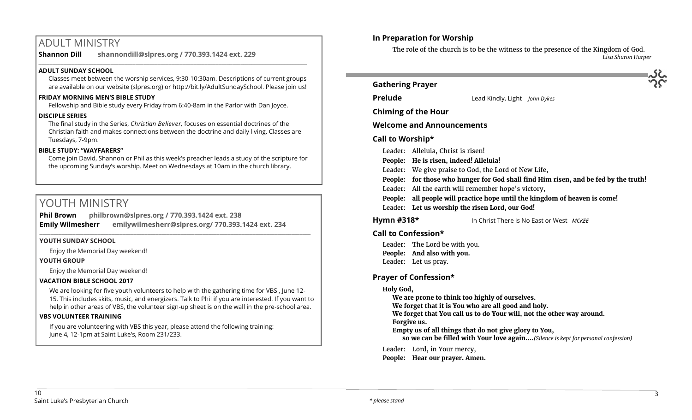# ADULT MINISTRY

**Shannon Dill shannondill@slpres.org / 770.393.1424 ext. 229** 

## **ADULT SUNDAY SCHOOL**

Classes meet between the worship services, 9:30-10:30am. Descriptions of current groups are available on our website (slpres.org) or http://bit.ly/AdultSundaySchool. Please join us!

 $\_$  ,  $\_$  ,  $\_$  ,  $\_$  ,  $\_$  ,  $\_$  ,  $\_$  ,  $\_$  ,  $\_$  ,  $\_$  ,  $\_$  ,  $\_$  ,  $\_$  ,  $\_$  ,  $\_$  ,  $\_$  ,  $\_$  ,  $\_$  ,  $\_$  ,  $\_$ 

## **FRIDAY MORNING MEN'S BIBLE STUDY**

Fellowship and Bible study every Friday from 6:40-8am in the Parlor with Dan Joyce.

#### **DISCIPLE SERIES**

The final study in the Series, *Christian Believer,* focuses on essential doctrines of the Christian faith and makes connections between the doctrine and daily living. Classes are Tuesdays, 7-9pm.

#### **BIBLE STUDY: "WAYFARERS"**

Come join David, Shannon or Phil as this week's preacher leads a study of the scripture for the upcoming Sunday's worship. Meet on Wednesdays at 10am in the church library.

# YOUTH MINISTRY

**Phil Brown philbrown@slpres.org / 770.393.1424 ext. 238 Emily Wilmesherr emilywilmesherr@slpres.org/ 770.393.1424 ext. 234**   $\_$  ,  $\_$  ,  $\_$  ,  $\_$  ,  $\_$  ,  $\_$  ,  $\_$  ,  $\_$  ,  $\_$  ,  $\_$  ,  $\_$  ,  $\_$  ,  $\_$  ,  $\_$  ,  $\_$  ,  $\_$  ,  $\_$  ,  $\_$  ,  $\_$  ,  $\_$  ,  $\_$  ,  $\_$  ,  $\_$  ,  $\_$  ,  $\_$  ,  $\_$  ,  $\_$  ,  $\_$  ,  $\_$  ,  $\_$  ,  $\_$  ,  $\_$  ,  $\_$  ,  $\_$  ,  $\_$  ,  $\_$  ,  $\_$  ,

#### **YOUTH SUNDAY SCHOOL**

Enjoy the Memorial Day weekend!

#### **YOUTH GROUP**

Enjoy the Memorial Day weekend!

#### **VACATION BIBLE SCHOOL 2017**

We are looking for five youth volunteers to help with the gathering time for VBS , June 12- 15. This includes skits, music, and energizers. Talk to Phil if you are interested. If you want to help in other areas of VBS, the volunteer sign-up sheet is on the wall in the pre-school area.

#### **VBS VOLUNTEER TRAINING**

If you are volunteering with VBS this year, please attend the following training: June 4, 12-1pm at Saint Luke's, Room 231/233.

# **In Preparation for Worship**

**Contract Contract** 

The role of the church is to be the witness to the presence of the Kingdom of God. *Lisa Sharon Harper*

| <b>Gathering Prayer</b>                                                                                                                                                                                                                                                                                                                                                                                             |                                                                |  |  |  |  |  |
|---------------------------------------------------------------------------------------------------------------------------------------------------------------------------------------------------------------------------------------------------------------------------------------------------------------------------------------------------------------------------------------------------------------------|----------------------------------------------------------------|--|--|--|--|--|
| <b>Prelude</b>                                                                                                                                                                                                                                                                                                                                                                                                      | Lead Kindly, Light John Dykes                                  |  |  |  |  |  |
| <b>Chiming of the Hour</b>                                                                                                                                                                                                                                                                                                                                                                                          |                                                                |  |  |  |  |  |
| <b>Welcome and Announcements</b>                                                                                                                                                                                                                                                                                                                                                                                    |                                                                |  |  |  |  |  |
| Call to Worship*                                                                                                                                                                                                                                                                                                                                                                                                    |                                                                |  |  |  |  |  |
| Leader: Alleluia, Christ is risen!<br>People: He is risen, indeed! Alleluia!<br>Leader: We give praise to God, the Lord of New Life,<br>People: for those who hunger for God shall find Him risen, and be fed by the truth!<br>Leader: All the earth will remember hope's victory,<br>People: all people will practice hope until the kingdom of heaven is come!<br>Leader: Let us worship the risen Lord, our God! |                                                                |  |  |  |  |  |
| Hymn #318*                                                                                                                                                                                                                                                                                                                                                                                                          | In Christ There is No East or West MCKEE                       |  |  |  |  |  |
| Call to Confession*<br>Leader: The Lord be with you.<br>People: And also with you.<br>Leader: Let us pray.                                                                                                                                                                                                                                                                                                          |                                                                |  |  |  |  |  |
| <b>Prayer of Confession*</b>                                                                                                                                                                                                                                                                                                                                                                                        |                                                                |  |  |  |  |  |
| Holy God,<br>We are prone to think too highly of ourselves.<br>We forget that it is You who are all good and holy.<br>We forget that You call us to do Your will, not the other way around.<br>Forgive us.<br>Empty us of all things that do not give glory to You,<br>so we can be filled with Your love again(Silence is kept for personal confession)                                                            |                                                                |  |  |  |  |  |
|                                                                                                                                                                                                                                                                                                                                                                                                                     | Leader: Lord, in Your mercy,<br>People: Hear our prayer. Amen. |  |  |  |  |  |
|                                                                                                                                                                                                                                                                                                                                                                                                                     |                                                                |  |  |  |  |  |

 $\epsilon$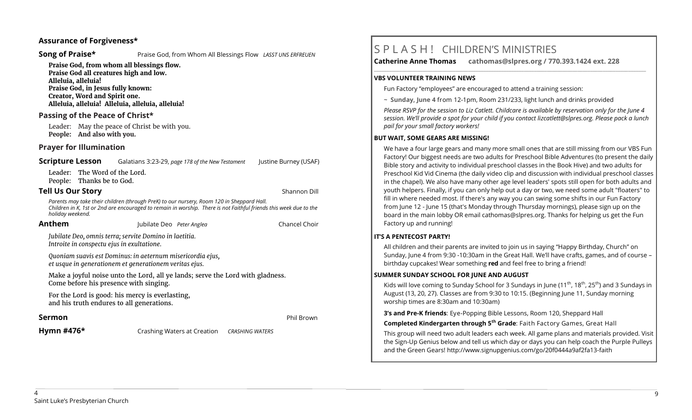#### **Assurance of Forgiveness\***

**Song of Praise\* Praise God, from Whom All Blessings Flow** *LASST UNS ERFREUEN* 

**Praise God, from whom all blessings flow. Praise God all creatures high and low. Alleluia, alleluia! Praise God, in Jesus fully known: Creator, Word and Spirit one. Alleluia, alleluia! Alleluia, alleluia, alleluia!** 

## **Passing of the Peace of Christ\***

Leader: May the peace of Christ be with you. **People: And also with you.**

## **Prayer for Illumination**

**Scripture Lesson** Galatians 3:23-29, *page 178 of the New Testament* Justine Burney (USAF)

Leader: The Word of the Lord. People: Thanks be to God.

# **Tell Us Our Story** Shannon Dill

 *Parents may take their children (through PreK) to our nursery, Room 120 in Sheppard Hall. Children in K, 1st or 2nd are encouraged to remain in worship. There is not Faithful friends this week due to the holiday weekend.*

| Anthem                                                                                                                   | Jubilate Deo Peter Anglea |  | Chancel Choir |
|--------------------------------------------------------------------------------------------------------------------------|---------------------------|--|---------------|
| Jubilate Deo, omnis terra; servite Domino in laetitia.<br>Introite in conspectu ejus in exultatione.                     |                           |  |               |
| Quoniam suavis est Dominus: in aeternum misericordia ejus,<br>et usque in generationem et generationem veritas ejus.     |                           |  |               |
| Make a joyful noise unto the Lord, all ye lands; serve the Lord with gladness.<br>Come before his presence with singing. |                           |  |               |
| For the Lord is good: his mercy is everlasting,                                                                          |                           |  |               |

and his truth endures to all generations.

## **Sermon** Phil Brown

**Hymn #476\*** Crashing Waters at Creation *CRASHING WATERS*

# S P L A S H ! CHILDREN'S MINISTRIES

**Catherine Anne Thomas cathomas@slpres.org / 770.393.1424 ext. 228 \_\_\_\_\_\_\_\_\_\_\_\_\_\_\_\_\_\_\_\_\_\_\_\_\_\_\_\_\_\_\_\_\_\_\_\_\_\_\_\_\_\_\_\_\_\_\_\_\_\_\_\_\_\_\_\_\_\_\_\_\_\_\_\_\_\_\_\_\_\_\_\_\_\_\_\_\_\_\_\_\_\_\_\_\_\_\_\_\_\_\_\_\_\_\_\_\_\_\_\_\_\_\_\_\_\_\_** 

#### **VBS VOLUNTEER TRAINING NEWS**

Fun Factory "employees" are encouraged to attend a training session:

~ **Sunday, June 4** from 12-1pm, Room 231/233, light lunch and drinks provided

*Please RSVP for the session to Liz Catlett. Childcare is available by reservation only for the June 4 session. We'll provide a spot for your child if you contact [lizcatlett@slpres.org.](mailto:lizcatlett@slpres.org) Please pack a lunch pail for your small factory workers!*

## **BUT WAIT, SOME GEARS ARE MISSING!**

We have a four large gears and many more small ones that are still missing from our VBS Fun Factory! Our biggest needs are two adults for Preschool Bible Adventures (to present the daily Bible story and activity to individual preschool classes in the Book Hive) and two adults for Preschool Kid Vid Cinema (the daily video clip and discussion with individual preschool classes in the chapel). We also have many other age level leaders' spots still open for both adults and youth helpers. Finally, if you can only help out a day or two, we need some adult "floaters" to fill in where needed most. If there's any way you can swing some shifts in our Fun Factory from June 12 - June 15 (that's Monday through Thursday mornings), please sign up on the board in the main lobby OR email [cathomas@slpres.org.](mailto:cathomas@slpres.orgThanks) Thanks for helping us get the Fun Factory up and running!

#### **IT'S A PENTECOST PARTY!**

All children and their parents are invited to join us in saying "Happy Birthday, Church" on Sunday, June 4 from 9:30 -10:30am in the Great Hall. We'll have crafts, games, and of course – birthday cupcakes! Wear something **red** and feel free to bring a friend!

#### **SUMMER SUNDAY SCHOOL FOR JUNE AND AUGUST**

Kids will love coming to Sunday School for 3 Sundays in June ( $11^{th}$ ,  $18^{th}$ ,  $25^{th}$ ) and 3 Sundays in August (13, 20, 27). Classes are from 9:30 to 10:15. (Beginning June 11, Sunday morning worship times are 8:30am and 10:30am)

**3's and Pre-K friends**: Eye-Popping Bible Lessons, Room 120, Sheppard Hall

**Completed Kindergarten through 5th Grade**: Faith Factory Games, Great Hall

This group will need two adult leaders each week. All game plans and materials provided. Visit the Sign-Up Genius below and tell us which day or days you can help coach the Purple Pulleys and the Green Gears! [http://www.signupgenius.com/go/20f0444a9af2fa13](http://www.signupgenius.com/go/20f0444a9af2fa13-faith)-faith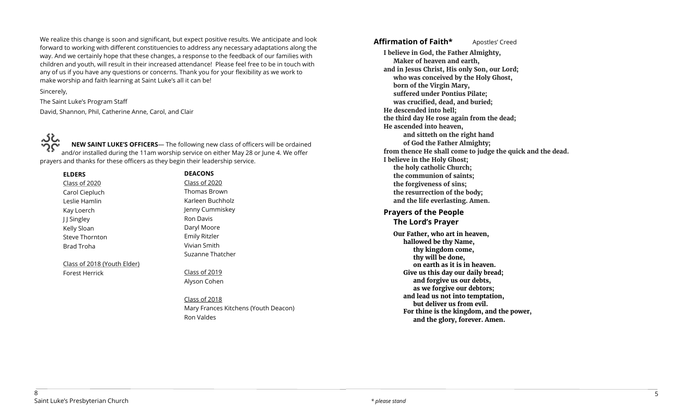We realize this change is soon and significant, but expect positive results. We anticipate and look forward to working with different constituencies to address any necessary adaptations along the way. And we certainly hope that these changes, a response to the feedback of our families with children and youth, will result in their increased attendance! Please feel free to be in touch with any of us if you have any questions or concerns. Thank you for your flexibility as we work to make worship and faith learning at Saint Luke's all it can be!

#### Sincerely,

The Saint Luke's Program Staff David, Shannon, Phil, Catherine Anne, Carol, and Clair

نځ ک

**NEW SAINT LUKE'S OFFICERS**— The following new class of officers will be ordained and/or installed during the 11am worship service on either May 28 or June 4. We offer prayers and thanks for these officers as they begin their leadership service.

**ELDERS** Class of 2020 Carol Ciepluch Leslie Hamlin Kay Loerch J J Singley Kelly Sloan Steve Thornton Brad Troha

Class of 2018 (Youth Elder)

Forest Herrick

# **DEACONS** cono

| Class of 2020        |
|----------------------|
| Thomas Brown         |
| Karleen Buchholz     |
| Jenny Cummiskey      |
| <b>Ron Davis</b>     |
| Daryl Moore          |
| <b>Emily Ritzler</b> |
| Vivian Smith         |
| Suzanne Thatcher     |

Class of 2019 Alyson Cohen

Class of 2018 Mary Frances Kitchens (Youth Deacon) Ron Valdes

Affirmation of Faith\* **Apostles'** Creed

**I believe in God, the Father Almighty, Maker of heaven and earth, and in Jesus Christ, His only Son, our Lord; who was conceived by the Holy Ghost, born of the Virgin Mary, suffered under Pontius Pilate; was crucified, dead, and buried; He descended into hell; the third day He rose again from the dead; He ascended into heaven, and sitteth on the right hand of God the Father Almighty; from thence He shall come to judge the quick and the dead. I believe in the Holy Ghost; the holy catholic Church; the communion of saints; the forgiveness of sins; the resurrection of the body; and the life everlasting. Amen. Prayers of the People The Lord's Prayer Our Father, who art in heaven, hallowed be thy Name, thy kingdom come, thy will be done, on earth as it is in heaven. Give us this day our daily bread;** 

> **and forgive us our debts, as we forgive our debtors; and lead us not into temptation, but deliver us from evil.**

**For thine is the kingdom, and the power, and the glory, forever. Amen.**